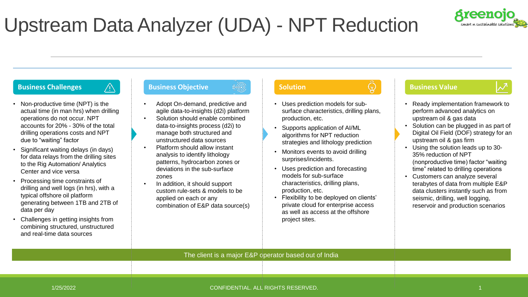

# Upstream Data Analyzer (UDA) - NPT Reduction

- Non-productive time (NPT) is the actual time (in man hrs) when drilling operations do not occur. NPT accounts for 20% - 30% of the total drilling operations costs and NPT due to "waiting" factor
- Significant waiting delays (in days) for data relays from the drilling sites to the Rig Automation/ Analytics Center and vice versa
- Processing time constraints of drilling and well logs (in hrs), with a typical offshore oil platform generating between 1TB and 2TB of data per day
- Challenges in getting insights from combining structured, unstructured and real-time data sources

### **Business Challenges Allenges Business Objective Solution Business Value Business Value**

- Adopt On-demand, predictive and agile data-to-insights (d2i) platform
- Solution should enable combined data-to-insights process (d2i) to manage both structured and unstructured data sources
- Platform should allow instant analysis to identify lithology patterns, hydrocarbon zones or deviations in the sub-surface zones
- In addition, it should support custom rule-sets & models to be applied on each or any combination of E&P data source(s)

- Uses prediction models for subsurface characteristics, drilling plans, production, etc.
- Supports application of AI/ML algorithms for NPT reduction strategies and lithology prediction
- Monitors events to avoid drilling surprises/incidents.
- Uses prediction and forecasting models for sub-surface characteristics, drilling plans, production, etc.
- Flexibility to be deployed on clients' private cloud for enterprise access as well as access at the offshore project sites.



- Ready implementation framework to perform advanced analytics on upstream oil & gas data
- Solution can be plugged in as part of Digital Oil Field (DOF) strategy for an upstream oil & gas firm
- Using the solution leads up to 30- 35% reduction of NPT (nonproductive time) factor "waiting time" related to drilling operations
- Customers can analyze several terabytes of data from multiple E&P data clusters instantly such as from seismic, drilling, well logging, reservoir and production scenarios

The client is a major E&P operator based out of India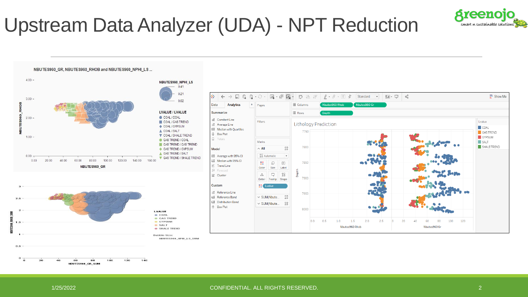

# Upstream Data Analyzer (UDA) - NPT Reduction



 $\Omega$  $120$ 140 60 80 100 NBUTES960\_GR\_SUM